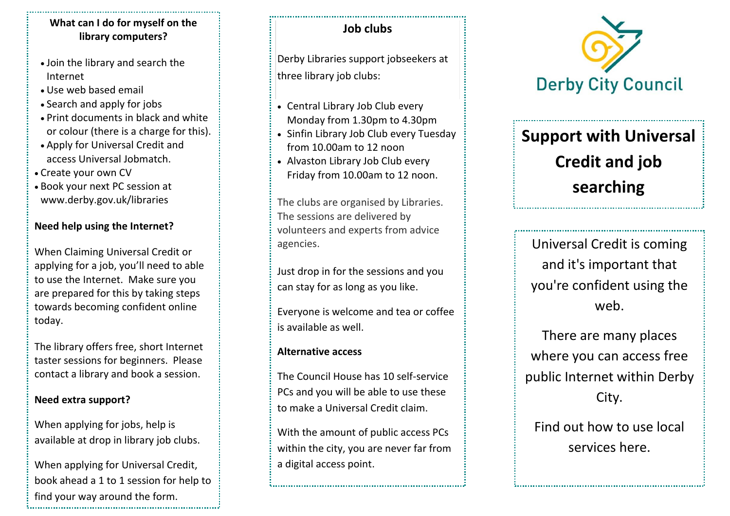#### **What can I do for myself on the library computers?**

- Join the library and search the Internet
- Use web based email
- Search and apply for jobs
- Print documents in black and white or colour (there is a charge for this).
- Apply for Universal Credit and access Universal Jobmatch.
- Create your own CV
- Book your next PC session at www.derby.gov.uk/libraries

## **Need help using the Internet?**

When Claiming Universal Credit or applying for a job, you'll need to able to use the Internet. Make sure you are prepared for this by taking steps towards becoming confident online today.

The library offers free, short Internet taster sessions for beginners. Please contact a library and book a session.

## **Need extra support?**

When applying for jobs, help is available at drop in library job clubs.

When applying for Universal Credit, book ahead a 1 to 1 session for help to find your way around the form. 

## **Job clubs**

Derby Libraries support jobseekers at three library job clubs:

- Central Library Job Club every Monday from 1.30pm to 4.30pm
- Sinfin Library Job Club every Tuesday from 10.00am to 12 noon
- Alvaston Library Job Club every Friday from 10.00am to 12 noon.

The clubs are organised by Libraries. The sessions are delivered by volunteers and experts from advice agencies.

Just drop in for the sessions and you can stay for as long as you like.

Everyone is welcome and tea or coffee is available as well.

## **Alternative access**

The Council House has 10 self-service PCs and you will be able to use these to make a Universal Credit claim.

With the amount of public access PCs within the city, you are never far from a digital access point.



# **Support with Universal Credit and job searching**

Universal Credit is coming and it's important that you're confident using the web.

There are many places where you can access free public Internet within Derby City.

Find out how to use local services here.